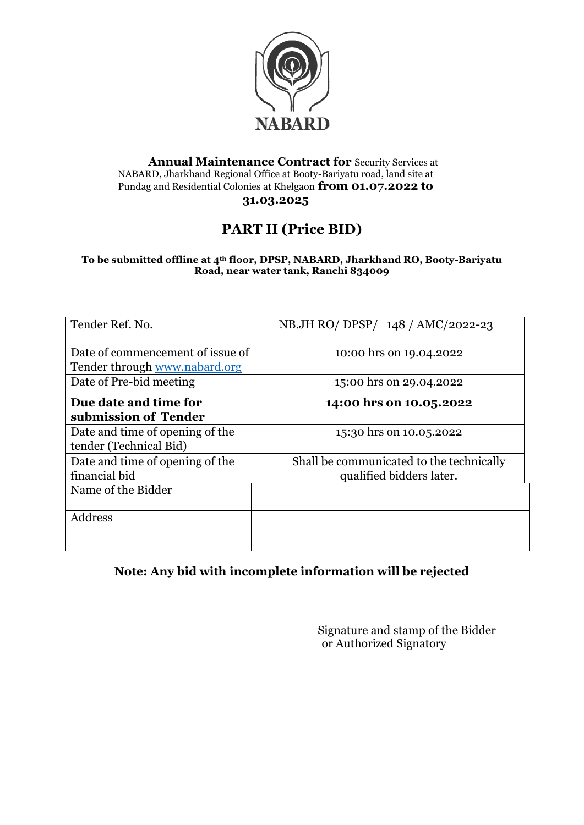

#### **Annual Maintenance Contract for** Security Services at NABARD, Jharkhand Regional Office at Booty-Bariyatu road, land site at Pundag and Residential Colonies at Khelgaon **from 01.07.2022 to 31.03.2025**

# **PART II (Price BID)**

**To be submitted offline at 4th floor, DPSP, NABARD, Jharkhand RO, Booty-Bariyatu Road, near water tank, Ranchi 834009**

| Tender Ref. No.                                                   | NB.JH RO/ DPSP/ 148 / AMC/2022-23                                    |  |
|-------------------------------------------------------------------|----------------------------------------------------------------------|--|
| Date of commencement of issue of<br>Tender through www.nabard.org | 10:00 hrs on 19.04.2022                                              |  |
| Date of Pre-bid meeting                                           | 15:00 hrs on 29.04.2022                                              |  |
| Due date and time for<br>submission of Tender                     | 14:00 hrs on 10.05.2022                                              |  |
| Date and time of opening of the<br>tender (Technical Bid)         | 15:30 hrs on 10.05.2022                                              |  |
| Date and time of opening of the<br>financial bid                  | Shall be communicated to the technically<br>qualified bidders later. |  |
| Name of the Bidder                                                |                                                                      |  |
| Address                                                           |                                                                      |  |
|                                                                   |                                                                      |  |

### **Note: Any bid with incomplete information will be rejected**

Signature and stamp of the Bidder or Authorized Signatory